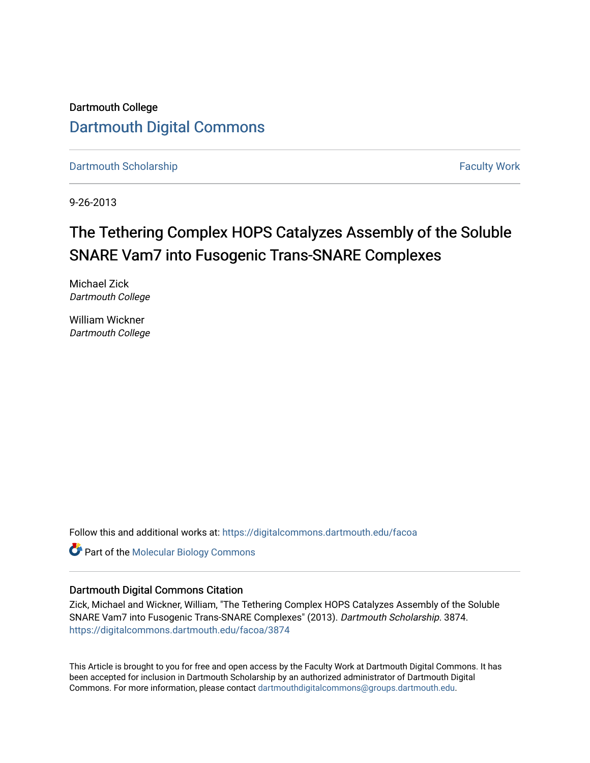Dartmouth College [Dartmouth Digital Commons](https://digitalcommons.dartmouth.edu/) 

[Dartmouth Scholarship](https://digitalcommons.dartmouth.edu/facoa) Faculty Work

9-26-2013

# The Tethering Complex HOPS Catalyzes Assembly of the Soluble SNARE Vam7 into Fusogenic Trans-SNARE Complexes

Michael Zick Dartmouth College

William Wickner Dartmouth College

Follow this and additional works at: [https://digitalcommons.dartmouth.edu/facoa](https://digitalcommons.dartmouth.edu/facoa?utm_source=digitalcommons.dartmouth.edu%2Ffacoa%2F3874&utm_medium=PDF&utm_campaign=PDFCoverPages)

**Part of the [Molecular Biology Commons](http://network.bepress.com/hgg/discipline/5?utm_source=digitalcommons.dartmouth.edu%2Ffacoa%2F3874&utm_medium=PDF&utm_campaign=PDFCoverPages)** 

### Dartmouth Digital Commons Citation

Zick, Michael and Wickner, William, "The Tethering Complex HOPS Catalyzes Assembly of the Soluble SNARE Vam7 into Fusogenic Trans-SNARE Complexes" (2013). Dartmouth Scholarship. 3874. [https://digitalcommons.dartmouth.edu/facoa/3874](https://digitalcommons.dartmouth.edu/facoa/3874?utm_source=digitalcommons.dartmouth.edu%2Ffacoa%2F3874&utm_medium=PDF&utm_campaign=PDFCoverPages) 

This Article is brought to you for free and open access by the Faculty Work at Dartmouth Digital Commons. It has been accepted for inclusion in Dartmouth Scholarship by an authorized administrator of Dartmouth Digital Commons. For more information, please contact [dartmouthdigitalcommons@groups.dartmouth.edu](mailto:dartmouthdigitalcommons@groups.dartmouth.edu).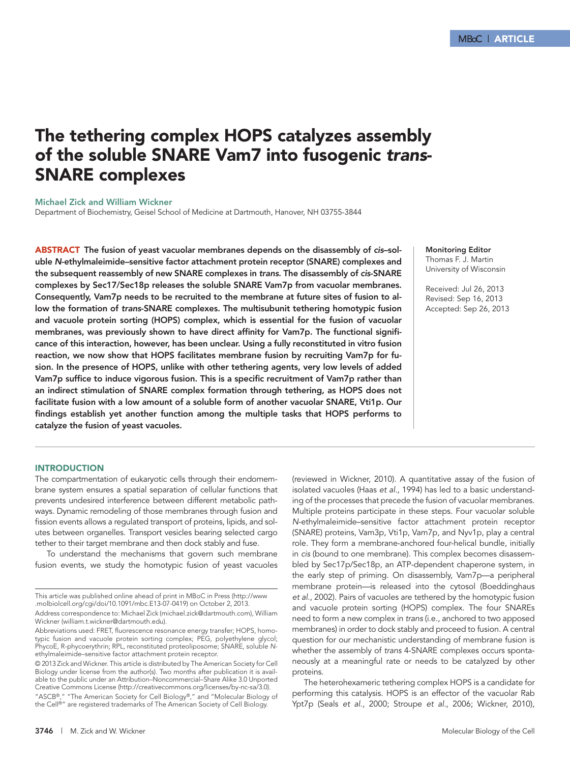## The tethering complex HOPS catalyzes assembly of the soluble SNARE Vam7 into fusogenic *trans*-SNARE complexes

Michael Zick and William Wickner

Department of Biochemistry, Geisel School of Medicine at Dartmouth, Hanover, NH 03755-3844

ABSTRACT The fusion of yeast vacuolar membranes depends on the disassembly of *cis*–soluble *N*-ethylmaleimide–sensitive factor attachment protein receptor (SNARE) complexes and the subsequent reassembly of new SNARE complexes in *trans*. The disassembly of *cis*-SNARE complexes by Sec17/Sec18p releases the soluble SNARE Vam7p from vacuolar membranes. Consequently, Vam7p needs to be recruited to the membrane at future sites of fusion to allow the formation of *trans*-SNARE complexes. The multisubunit tethering homotypic fusion and vacuole protein sorting (HOPS) complex, which is essential for the fusion of vacuolar membranes, was previously shown to have direct affinity for Vam7p. The functional significance of this interaction, however, has been unclear. Using a fully reconstituted in vitro fusion reaction, we now show that HOPS facilitates membrane fusion by recruiting Vam7p for fusion. In the presence of HOPS, unlike with other tethering agents, very low levels of added Vam7p suffice to induce vigorous fusion. This is a specific recruitment of Vam7p rather than an indirect stimulation of SNARE complex formation through tethering, as HOPS does not facilitate fusion with a low amount of a soluble form of another vacuolar SNARE, Vti1p. Our findings establish yet another function among the multiple tasks that HOPS performs to catalyze the fusion of yeast vacuoles.

#### Monitoring Editor Thomas F. J. Martin University of Wisconsin

Received: Jul 26, 2013 Revised: Sep 16, 2013 Accepted: Sep 26, 2013

#### **INTRODUCTION**

The compartmentation of eukaryotic cells through their endomembrane system ensures a spatial separation of cellular functions that prevents undesired interference between different metabolic pathways. Dynamic remodeling of those membranes through fusion and fission events allows a regulated transport of proteins, lipids, and solutes between organelles. Transport vesicles bearing selected cargo tether to their target membrane and then dock stably and fuse.

To understand the mechanisms that govern such membrane fusion events, we study the homotypic fusion of yeast vacuoles

Address correspondence to: Michael Zick (michael.zick@dartmouth.com), William Wickner (william.t.wickner@dartmouth.edu).

"ASCB®," "The American Society for Cell Biology®," and "Molecular Biology of the Cell®" are registered trademarks of The American Society of Cell Biology.

(reviewed in Wickner, 2010). A quantitative assay of the fusion of isolated vacuoles (Haas *et al.*, 1994) has led to a basic understanding of the processes that precede the fusion of vacuolar membranes. Multiple proteins participate in these steps. Four vacuolar soluble *N*-ethylmaleimide–sensitive factor attachment protein receptor (SNARE) proteins, Vam3p, Vti1p, Vam7p, and Nyv1p, play a central role. They form a membrane-anchored four-helical bundle, initially in *cis* (bound to one membrane). This complex becomes disassembled by Sec17p/Sec18p, an ATP-dependent chaperone system, in the early step of priming. On disassembly, Vam7p—a peripheral membrane protein—is released into the cytosol (Boeddinghaus *et al.*, 2002). Pairs of vacuoles are tethered by the homotypic fusion and vacuole protein sorting (HOPS) complex. The four SNAREs need to form a new complex in *trans* (i.e., anchored to two apposed membranes) in order to dock stably and proceed to fusion. A central question for our mechanistic understanding of membrane fusion is whether the assembly of *trans* 4-SNARE complexes occurs spontaneously at a meaningful rate or needs to be catalyzed by other proteins.

The heterohexameric tethering complex HOPS is a candidate for performing this catalysis. HOPS is an effector of the vacuolar Rab Ypt7p (Seals *et al.*, 2000; Stroupe *et al.*, 2006; Wickner, 2010),

This article was published online ahead of print in MBoC in Press (http://www .molbiolcell.org/cgi/doi/10.1091/mbc.E13-07-0419) on October 2, 2013.

Abbreviations used: FRET, fluorescence resonance energy transfer; HOPS, homotypic fusion and vacuole protein sorting complex; PEG, polyethylene glycol; PhycoE, R-phycoerythrin; RPL, reconstituted proteoliposome; SNARE, soluble *N*ethylmaleimide–sensitive factor attachment protein receptor.

<sup>© 2013</sup> Zick and Wickner. This article is distributed by The American Society for Cell Biology under license from the author(s). Two months after publication it is available to the public under an Attribution–Noncommercial–Share Alike 3.0 Unported Creative Commons License (http://creativecommons.org/licenses/by-nc-sa/3.0).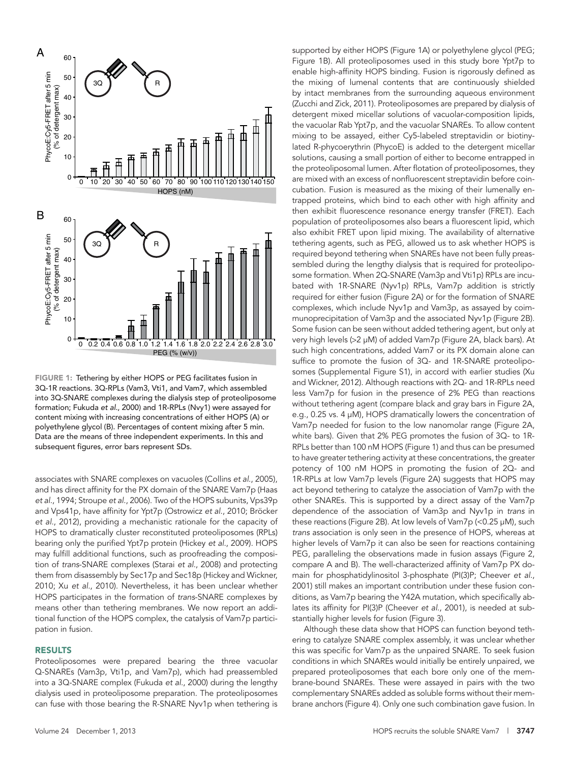

FIGURE 1: Tethering by either HOPS or PEG facilitates fusion in 3Q-1R reactions. 3Q-RPLs (Vam3, Vti1, and Vam7, which assembled into 3Q-SNARE complexes during the dialysis step of proteoliposome formation; Fukuda *et al.*, 2000) and 1R-RPLs (Nvy1) were assayed for content mixing with increasing concentrations of either HOPS (A) or polyethylene glycol (B). Percentages of content mixing after 5 min. Data are the means of three independent experiments. In this and subsequent figures, error bars represent SDs.

associates with SNARE complexes on vacuoles (Collins *et al.*, 2005), and has direct affinity for the PX domain of the SNARE Vam7p (Haas *et al.*, 1994; Stroupe *et al.*, 2006). Two of the HOPS subunits, Vps39p and Vps41p, have affinity for Ypt7p (Ostrowicz *et al.*, 2010; Bröcker *et al.*, 2012), providing a mechanistic rationale for the capacity of HOPS to dramatically cluster reconstituted proteoliposomes (RPLs) bearing only the purified Ypt7p protein (Hickey *et al.*, 2009). HOPS may fulfill additional functions, such as proofreading the composition of *trans*-SNARE complexes (Starai *et al.*, 2008) and protecting them from disassembly by Sec17p and Sec18p (Hickey and Wickner, 2010; Xu *et al.*, 2010). Nevertheless, it has been unclear whether HOPS participates in the formation of *trans*-SNARE complexes by means other than tethering membranes. We now report an additional function of the HOPS complex, the catalysis of Vam7p participation in fusion.

#### RESULTS

Proteoliposomes were prepared bearing the three vacuolar Q-SNAREs (Vam3p, Vti1p, and Vam7p), which had preassembled into a 3Q-SNARE complex (Fukuda *et al.*, 2000) during the lengthy dialysis used in proteoliposome preparation. The proteoliposomes can fuse with those bearing the R-SNARE Nyv1p when tethering is

supported by either HOPS (Figure 1A) or polyethylene glycol (PEG; Figure 1B). All proteoliposomes used in this study bore Ypt7p to enable high-affinity HOPS binding. Fusion is rigorously defined as the mixing of lumenal contents that are continuously shielded by intact membranes from the surrounding aqueous environment (Zucchi and Zick, 2011). Proteoliposomes are prepared by dialysis of detergent mixed micellar solutions of vacuolar-composition lipids, the vacuolar Rab Ypt7p, and the vacuolar SNAREs. To allow content mixing to be assayed, either Cy5-labeled streptavidin or biotinylated R-phycoerythrin (PhycoE) is added to the detergent micellar solutions, causing a small portion of either to become entrapped in the proteoliposomal lumen. After flotation of proteoliposomes, they are mixed with an excess of nonfluorescent streptavidin before coincubation. Fusion is measured as the mixing of their lumenally entrapped proteins, which bind to each other with high affinity and then exhibit fluorescence resonance energy transfer (FRET). Each population of proteoliposomes also bears a fluorescent lipid, which also exhibit FRET upon lipid mixing. The availability of alternative tethering agents, such as PEG, allowed us to ask whether HOPS is required beyond tethering when SNAREs have not been fully preassembled during the lengthy dialysis that is required for proteoliposome formation. When 2Q-SNARE (Vam3p and Vti1p) RPLs are incubated with 1R-SNARE (Nyv1p) RPLs, Vam7p addition is strictly required for either fusion (Figure 2A) or for the formation of SNARE complexes, which include Nyv1p and Vam3p, as assayed by coimmunoprecipitation of Vam3p and the associated Nyv1p (Figure 2B). Some fusion can be seen without added tethering agent, but only at very high levels (>2 μM) of added Vam7p (Figure 2A, black bars). At such high concentrations, added Vam7 or its PX domain alone can suffice to promote the fusion of 3Q- and 1R-SNARE proteoliposomes (Supplemental Figure S1), in accord with earlier studies (Xu and Wickner, 2012). Although reactions with 2Q- and 1R-RPLs need less Vam7p for fusion in the presence of 2% PEG than reactions without tethering agent (compare black and gray bars in Figure 2A, e.g., 0.25 vs. 4 μM), HOPS dramatically lowers the concentration of Vam7p needed for fusion to the low nanomolar range (Figure 2A, white bars). Given that 2% PEG promotes the fusion of 3Q- to 1R-RPLs better than 100 nM HOPS (Figure 1) and thus can be presumed to have greater tethering activity at these concentrations, the greater potency of 100 nM HOPS in promoting the fusion of 2Q- and 1R-RPLs at low Vam7p levels (Figure 2A) suggests that HOPS may act beyond tethering to catalyze the association of Vam7p with the other SNAREs. This is supported by a direct assay of the Vam7p dependence of the association of Vam3p and Nyv1p in *trans* in these reactions (Figure 2B). At low levels of Vam7p (<0.25 μM), such *trans* association is only seen in the presence of HOPS, whereas at higher levels of Vam7p it can also be seen for reactions containing PEG, paralleling the observations made in fusion assays (Figure 2, compare A and B). The well-characterized affinity of Vam7p PX domain for phosphatidylinositol 3-phosphate (PI(3)P; Cheever *et al.*, 2001) still makes an important contribution under these fusion conditions, as Vam7p bearing the Y42A mutation, which specifically ablates its affinity for PI(3)P (Cheever *et al.*, 2001), is needed at substantially higher levels for fusion (Figure 3).

Although these data show that HOPS can function beyond tethering to catalyze SNARE complex assembly, it was unclear whether this was specific for Vam7p as the unpaired SNARE. To seek fusion conditions in which SNAREs would initially be entirely unpaired, we prepared proteoliposomes that each bore only one of the membrane-bound SNAREs. These were assayed in pairs with the two complementary SNAREs added as soluble forms without their membrane anchors (Figure 4). Only one such combination gave fusion. In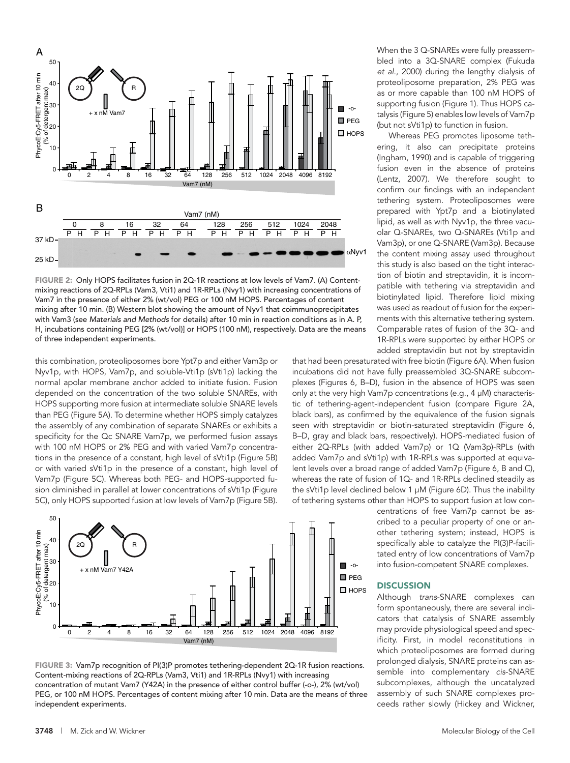

FIGURE 2: Only HOPS facilitates fusion in 2Q-1R reactions at low levels of Vam7. (A) Contentmixing reactions of 2Q-RPLs (Vam3, Vti1) and 1R-RPLs (Nvy1) with increasing concentrations of Vam7 in the presence of either 2% (wt/vol) PEG or 100 nM HOPS. Percentages of content mixing after 10 min. (B) Western blot showing the amount of Nyv1 that coimmunoprecipitates with Vam3 (see *Materials and Methods* for details) after 10 min in reaction conditions as in A. P, H, incubations containing PEG [2% (wt/vol)] or HOPS (100 nM), respectively. Data are the means

this combination, proteoliposomes bore Ypt7p and either Vam3p or Nyv1p, with HOPS, Vam7p, and soluble-Vti1p (sVti1p) lacking the normal apolar membrane anchor added to initiate fusion. Fusion depended on the concentration of the two soluble SNAREs, with HOPS supporting more fusion at intermediate soluble SNARE levels than PEG (Figure 5A). To determine whether HOPS simply catalyzes the assembly of any combination of separate SNAREs or exhibits a specificity for the Qc SNARE Vam7p, we performed fusion assays with 100 nM HOPS or 2% PEG and with varied Vam7p concentrations in the presence of a constant, high level of sVti1p (Figure 5B) or with varied sVti1p in the presence of a constant, high level of Vam7p (Figure 5C). Whereas both PEG- and HOPS-supported fusion diminished in parallel at lower concentrations of sVti1p (Figure 5C), only HOPS supported fusion at low levels of Vam7p (Figure 5B).



FIGURE 3: Vam7p recognition of PI(3)P promotes tethering-dependent 2Q-1R fusion reactions. Content-mixing reactions of 2Q-RPLs (Vam3, Vti1) and 1R-RPLs (Nvy1) with increasing concentration of mutant Vam7 (Y42A) in the presence of either control buffer (-o-), 2% (wt/vol) PEG, or 100 nM HOPS. Percentages of content mixing after 10 min. Data are the means of three

When the 3 Q-SNAREs were fully preassembled into a 3Q-SNARE complex (Fukuda *et al.*, 2000) during the lengthy dialysis of proteoliposome preparation, 2% PEG was as or more capable than 100 nM HOPS of supporting fusion (Figure 1). Thus HOPS catalysis (Figure 5) enables low levels of Vam7p (but not sVti1p) to function in fusion.

Whereas PEG promotes liposome tethering, it also can precipitate proteins (Ingham, 1990) and is capable of triggering fusion even in the absence of proteins (Lentz, 2007). We therefore sought to confirm our findings with an independent tethering system. Proteoliposomes were prepared with Ypt7p and a biotinylated lipid, as well as with Nyv1p, the three vacuolar Q-SNAREs, two Q-SNAREs (Vti1p and Vam3p), or one Q-SNARE (Vam3p). Because the content mixing assay used throughout this study is also based on the tight interaction of biotin and streptavidin, it is incompatible with tethering via streptavidin and biotinylated lipid. Therefore lipid mixing was used as readout of fusion for the experiments with this alternative tethering system. Comparable rates of fusion of the 3Q- and 1R-RPLs were supported by either HOPS or added streptavidin but not by streptavidin

that had been presaturated with free biotin (Figure 6A). When fusion incubations did not have fully preassembled 3Q-SNARE subcomplexes (Figures 6, B–D), fusion in the absence of HOPS was seen only at the very high Vam7p concentrations (e.g., 4 μM) characteristic of tethering-agent-independent fusion (compare Figure 2A, black bars), as confirmed by the equivalence of the fusion signals seen with streptavidin or biotin-saturated streptavidin (Figure 6, B–D, gray and black bars, respectively). HOPS-mediated fusion of either 2Q-RPLs (with added Vam7p) or 1Q (Vam3p)-RPLs (with added Vam7p and sVti1p) with 1R-RPLs was supported at equivalent levels over a broad range of added Vam7p (Figure 6, B and C), whereas the rate of fusion of 1Q- and 1R-RPLs declined steadily as the sVti1p level declined below 1 μM (Figure 6D). Thus the inability of tethering systems other than HOPS to support fusion at low con-

> centrations of free Vam7p cannot be ascribed to a peculiar property of one or another tethering system; instead, HOPS is specifically able to catalyze the PI(3)P-facilitated entry of low concentrations of Vam7p into fusion-competent SNARE complexes.

#### **DISCUSSION**

Although *trans*-SNARE complexes can form spontaneously, there are several indicators that catalysis of SNARE assembly may provide physiological speed and specificity. First, in model reconstitutions in which proteoliposomes are formed during prolonged dialysis, SNARE proteins can assemble into complementary *cis*-SNARE subcomplexes, although the uncatalyzed assembly of such SNARE complexes proceeds rather slowly (Hickey and Wickner,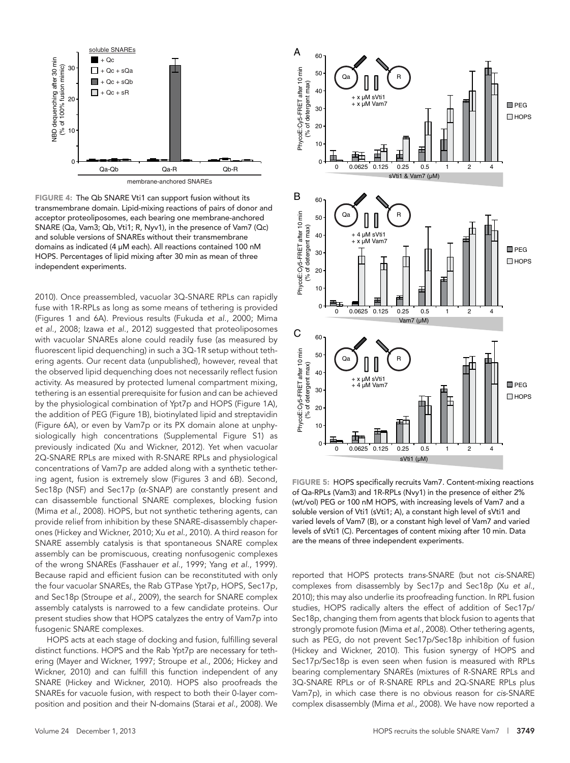

FIGURE 4: The Qb SNARE Vti1 can support fusion without its transmembrane domain. Lipid-mixing reactions of pairs of donor and acceptor proteoliposomes, each bearing one membrane-anchored SNARE (Qa, Vam3; Qb, Vti1; R, Nyv1), in the presence of Vam7 (Qc) and soluble versions of SNAREs without their transmembrane domains as indicated (4 μM each). All reactions contained 100 nM HOPS. Percentages of lipid mixing after 30 min as mean of three independent experiments.

2010). Once preassembled, vacuolar 3Q-SNARE RPLs can rapidly fuse with 1R-RPLs as long as some means of tethering is provided (Figures 1 and 6A). Previous results (Fukuda *et al.*, 2000; Mima *et al.*, 2008; Izawa *et al.*, 2012) suggested that proteoliposomes with vacuolar SNAREs alone could readily fuse (as measured by fluorescent lipid dequenching) in such a 3Q-1R setup without tethering agents. Our recent data (unpublished), however, reveal that the observed lipid dequenching does not necessarily reflect fusion activity. As measured by protected lumenal compartment mixing, tethering is an essential prerequisite for fusion and can be achieved by the physiological combination of Ypt7p and HOPS (Figure 1A), the addition of PEG (Figure 1B), biotinylated lipid and streptavidin (Figure 6A), or even by Vam7p or its PX domain alone at unphysiologically high concentrations (Supplemental Figure S1) as previously indicated (Xu and Wickner, 2012). Yet when vacuolar 2Q-SNARE RPLs are mixed with R-SNARE RPLs and physiological concentrations of Vam7p are added along with a synthetic tethering agent, fusion is extremely slow (Figures 3 and 6B). Second, Sec18p (NSF) and Sec17p (α-SNAP) are constantly present and can disassemble functional SNARE complexes, blocking fusion (Mima *et al.*, 2008). HOPS, but not synthetic tethering agents, can provide relief from inhibition by these SNARE-disassembly chaperones (Hickey and Wickner, 2010; Xu *et al.*, 2010). A third reason for SNARE assembly catalysis is that spontaneous SNARE complex assembly can be promiscuous, creating nonfusogenic complexes of the wrong SNAREs (Fasshauer *et al.*, 1999; Yang *et al.*, 1999). Because rapid and efficient fusion can be reconstituted with only the four vacuolar SNAREs, the Rab GTPase Ypt7p, HOPS, Sec17p, and Sec18p (Stroupe *et al.*, 2009), the search for SNARE complex assembly catalysts is narrowed to a few candidate proteins. Our present studies show that HOPS catalyzes the entry of Vam7p into fusogenic SNARE complexes.

HOPS acts at each stage of docking and fusion, fulfilling several distinct functions. HOPS and the Rab Ypt7p are necessary for tethering (Mayer and Wickner, 1997; Stroupe *et al.*, 2006; Hickey and Wickner, 2010) and can fulfill this function independent of any SNARE (Hickey and Wickner, 2010). HOPS also proofreads the SNAREs for vacuole fusion, with respect to both their 0-layer composition and position and their N-domains (Starai *et al.*, 2008). We



FIGURE 5: HOPS specifically recruits Vam7. Content-mixing reactions of Qa-RPLs (Vam3) and 1R-RPLs (Nvy1) in the presence of either 2% (wt/vol) PEG or 100 nM HOPS, with increasing levels of Vam7 and a soluble version of Vti1 (sVti1; A), a constant high level of sVti1 and varied levels of Vam7 (B), or a constant high level of Vam7 and varied levels of sVti1 (C). Percentages of content mixing after 10 min. Data are the means of three independent experiments.

reported that HOPS protects *trans*-SNARE (but not *cis*-SNARE) complexes from disassembly by Sec17p and Sec18p (Xu *et al.*, 2010); this may also underlie its proofreading function. In RPL fusion studies, HOPS radically alters the effect of addition of Sec17p/ Sec18p, changing them from agents that block fusion to agents that strongly promote fusion (Mima *et al.*, 2008). Other tethering agents, such as PEG, do not prevent Sec17p/Sec18p inhibition of fusion (Hickey and Wickner, 2010). This fusion synergy of HOPS and Sec17p/Sec18p is even seen when fusion is measured with RPLs bearing complementary SNAREs (mixtures of R-SNARE RPLs and 3Q-SNARE RPLs or of R-SNARE RPLs and 2Q-SNARE RPLs plus Vam7p), in which case there is no obvious reason for *cis*-SNARE complex disassembly (Mima *et al.*, 2008). We have now reported a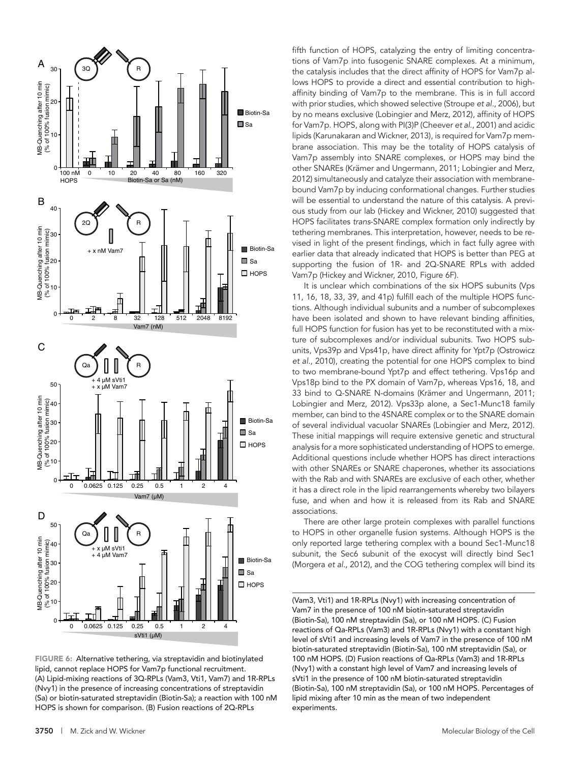

FIGURE 6: Alternative tethering, via streptavidin and biotinylated lipid, cannot replace HOPS for Vam7p functional recruitment. (A) Lipid-mixing reactions of 3Q-RPLs (Vam3, Vti1, Vam7) and 1R-RPLs (Nvy1) in the presence of increasing concentrations of streptavidin (Sa) or biotin-saturated streptavidin (Biotin-Sa); a reaction with 100 nM HOPS is shown for comparison. (B) Fusion reactions of 2Q-RPLs

fifth function of HOPS, catalyzing the entry of limiting concentrations of Vam7p into fusogenic SNARE complexes. At a minimum, the catalysis includes that the direct affinity of HOPS for Vam7p allows HOPS to provide a direct and essential contribution to highaffinity binding of Vam7p to the membrane. This is in full accord with prior studies, which showed selective (Stroupe *et al.*, 2006), but by no means exclusive (Lobingier and Merz, 2012), affinity of HOPS for Vam7p. HOPS, along with PI(3)P (Cheever *et al.*, 2001) and acidic lipids (Karunakaran and Wickner, 2013), is required for Vam7p membrane association. This may be the totality of HOPS catalysis of Vam7p assembly into SNARE complexes, or HOPS may bind the other SNAREs (Krämer and Ungermann, 2011; Lobingier and Merz, 2012) simultaneously and catalyze their association with membranebound Vam7p by inducing conformational changes. Further studies will be essential to understand the nature of this catalysis. A previous study from our lab (Hickey and Wickner, 2010) suggested that HOPS facilitates *trans*-SNARE complex formation only indirectly by tethering membranes. This interpretation, however, needs to be revised in light of the present findings, which in fact fully agree with earlier data that already indicated that HOPS is better than PEG at supporting the fusion of 1R- and 2Q-SNARE RPLs with added Vam7p (Hickey and Wickner, 2010, Figure 6F).

It is unclear which combinations of the six HOPS subunits (Vps 11, 16, 18, 33, 39, and 41p) fulfill each of the multiple HOPS functions. Although individual subunits and a number of subcomplexes have been isolated and shown to have relevant binding affinities, full HOPS function for fusion has yet to be reconstituted with a mixture of subcomplexes and/or individual subunits. Two HOPS subunits, Vps39p and Vps41p, have direct affinity for Ypt7p (Ostrowicz *et al.*, 2010), creating the potential for one HOPS complex to bind to two membrane-bound Ypt7p and effect tethering. Vps16p and Vps18p bind to the PX domain of Vam7p, whereas Vps16, 18, and 33 bind to Q-SNARE N-domains (Krämer and Ungermann, 2011; Lobingier and Merz, 2012). Vps33p alone, a Sec1-Munc18 family member, can bind to the 4SNARE complex or to the SNARE domain of several individual vacuolar SNAREs (Lobingier and Merz, 2012). These initial mappings will require extensive genetic and structural analysis for a more sophisticated understanding of HOPS to emerge. Additional questions include whether HOPS has direct interactions with other SNAREs or SNARE chaperones, whether its associations with the Rab and with SNAREs are exclusive of each other, whether it has a direct role in the lipid rearrangements whereby two bilayers fuse, and when and how it is released from its Rab and SNARE associations.

There are other large protein complexes with parallel functions to HOPS in other organelle fusion systems. Although HOPS is the only reported large tethering complex with a bound Sec1-Munc18 subunit, the Sec6 subunit of the exocyst will directly bind Sec1 (Morgera *et al.*, 2012), and the COG tethering complex will bind its

(Vam3, Vti1) and 1R-RPLs (Nvy1) with increasing concentration of Vam7 in the presence of 100 nM biotin-saturated streptavidin (Biotin-Sa), 100 nM streptavidin (Sa), or 100 nM HOPS. (C) Fusion reactions of Qa-RPLs (Vam3) and 1R-RPLs (Nvy1) with a constant high level of sVti1 and increasing levels of Vam7 in the presence of 100 nM biotin-saturated streptavidin (Biotin-Sa), 100 nM streptavidin (Sa), or 100 nM HOPS. (D) Fusion reactions of Qa-RPLs (Vam3) and 1R-RPLs (Nvy1) with a constant high level of Vam7 and increasing levels of sVti1 in the presence of 100 nM biotin-saturated streptavidin (Biotin-Sa), 100 nM streptavidin (Sa), or 100 nM HOPS. Percentages of lipid mixing after 10 min as the mean of two independent experiments.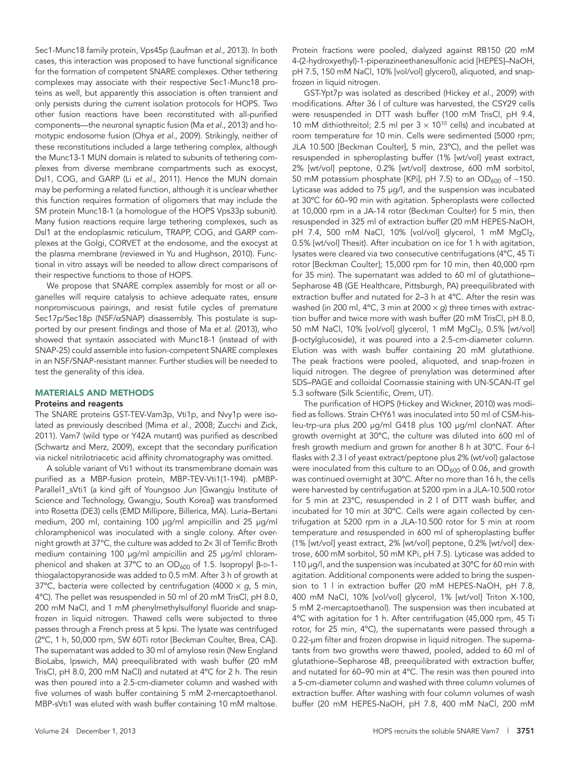Sec1-Munc18 family protein, Vps45p (Laufman *et al.*, 2013). In both cases, this interaction was proposed to have functional significance for the formation of competent SNARE complexes. Other tethering complexes may associate with their respective Sec1-Munc18 proteins as well, but apparently this association is often transient and only persists during the current isolation protocols for HOPS. Two other fusion reactions have been reconstituted with all-purified components—the neuronal synaptic fusion (Ma *et al.*, 2013) and homotypic endosome fusion (Ohya *et al.*, 2009). Strikingly, neither of these reconstitutions included a large tethering complex, although the Munc13-1 MUN domain is related to subunits of tethering complexes from diverse membrane compartments such as exocyst, Dsl1, COG, and GARP (Li *et al.*, 2011). Hence the MUN domain may be performing a related function, although it is unclear whether this function requires formation of oligomers that may include the SM protein Munc18-1 (a homologue of the HOPS Vps33p subunit). Many fusion reactions require large tethering complexes, such as Dsl1 at the endoplasmic reticulum, TRAPP, COG, and GARP complexes at the Golgi, CORVET at the endosome, and the exocyst at the plasma membrane (reviewed in Yu and Hughson, 2010). Functional in vitro assays will be needed to allow direct comparisons of their respective functions to those of HOPS.

We propose that SNARE complex assembly for most or all organelles will require catalysis to achieve adequate rates, ensure nonpromiscuous pairings, and resist futile cycles of premature Sec17p/Sec18p (NSF/αSNAP) disassembly. This postulate is supported by our present findings and those of Ma *et al.* (2013), who showed that syntaxin associated with Munc18-1 (instead of with SNAP-25) could assemble into fusion-competent SNARE complexes in an NSF/SNAP-resistant manner. Further studies will be needed to test the generality of this idea.

#### MATERIALS AND METHODS

#### Proteins and reagents

The SNARE proteins GST-TEV-Vam3p, Vti1p, and Nvy1p were isolated as previously described (Mima *et al.*, 2008; Zucchi and Zick, 2011). Vam7 (wild type or Y42A mutant) was purified as described (Schwartz and Merz, 2009), except that the secondary purification via nickel nitrilotriacetic acid affinity chromatography was omitted.

A soluble variant of Vti1 without its transmembrane domain was purified as a MBP-fusion protein, MBP-TEV-Vti1(1-194). pMBP-Parallel1\_sVti1 (a kind gift of Youngsoo Jun [Gwangju Institute of Science and Technology, Gwangju, South Korea]) was transformed into Rosetta (DE3) cells (EMD Millipore, Billerica, MA). Luria–Bertani medium, 200 ml, containing 100 μg/ml ampicillin and 25 μg/ml chloramphenicol was inoculated with a single colony. After overnight growth at 37°C, the culture was added to 2× 3l of Terrific Broth medium containing 100 μg/ml ampicillin and 25 μg/ml chloramphenicol and shaken at 37°C to an  $OD_{600}$  of 1.5. Isopropyl β-D-1thiogalactopyranoside was added to 0.5 mM. After 3 h of growth at 37ºC, bacteria were collected by centrifugation (4000 × *g*, 5 min, 4ºC). The pellet was resuspended in 50 ml of 20 mM TrisCl, pH 8.0, 200 mM NaCl, and 1 mM phenylmethylsulfonyl fluoride and snapfrozen in liquid nitrogen. Thawed cells were subjected to three passes through a French press at 5 kpsi. The lysate was centrifuged (2ºC, 1 h, 50,000 rpm, SW 60Ti rotor [Beckman Coulter, Brea, CA]). The supernatant was added to 30 ml of amylose resin (New England BioLabs, Ipswich, MA) preequilibrated with wash buffer (20 mM TrisCl, pH 8.0, 200 mM NaCl) and nutated at 4ºC for 2 h. The resin was then poured into a 2.5-cm-diameter column and washed with five volumes of wash buffer containing 5 mM 2-mercaptoethanol. MBP-sVti1 was eluted with wash buffer containing 10 mM maltose.

Protein fractions were pooled, dialyzed against RB150 (20 mM 4-(2-hydroxyethyl)-1-piperazineethanesulfonic acid [HEPES]–NaOH, pH 7.5, 150 mM NaCl, 10% [vol/vol] glycerol), aliquoted, and snapfrozen in liquid nitrogen.

GST-Ypt7p was isolated as described (Hickey *et al.*, 2009) with modifications. After 36 l of culture was harvested, the CSY29 cells were resuspended in DTT wash buffer (100 mM TrisCl, pH 9.4, 10 mM dithiothreitol; 2.5 ml per  $3 \times 10^{10}$  cells) and incubated at room temperature for 10 min. Cells were sedimented (5000 rpm; JLA 10.500 [Beckman Coulter], 5 min, 23ºC), and the pellet was resuspended in spheroplasting buffer (1% [wt/vol] yeast extract, 2% [wt/vol] peptone, 0.2% [wt/vol] dextrose, 600 mM sorbitol, 50 mM potassium phosphate [KPi], pH 7.5) to an OD<sub>600</sub> of ~150. Lyticase was added to 75 μg/l, and the suspension was incubated at 30ºC for 60–90 min with agitation. Spheroplasts were collected at 10,000 rpm in a JA-14 rotor (Beckman Coulter) for 5 min, then resuspended in 325 ml of extraction buffer (20 mM HEPES-NaOH, pH 7.4, 500 mM NaCl, 10% [vol/vol] glycerol, 1 mM MgCl2, 0.5% [wt/vol] Thesit). After incubation on ice for 1 h with agitation, lysates were cleared via two consecutive centrifugations (4ºC, 45 Ti rotor [Beckman Coulter]; 15,000 rpm for 10 min, then 40,000 rpm for 35 min). The supernatant was added to 60 ml of glutathione– Sepharose 4B (GE Healthcare, Pittsburgh, PA) preequilibrated with extraction buffer and nutated for 2–3 h at 4ºC. After the resin was washed (in 200 ml, 4ºC, 3 min at 2000 × *g*) three times with extraction buffer and twice more with wash buffer (20 mM TrisCl, pH 8.0, 50 mM NaCl, 10% [vol/vol] glycerol, 1 mM MgCl<sub>2</sub>, 0.5% [wt/vol] β-octylglucoside), it was poured into a 2.5-cm-diameter column. Elution was with wash buffer containing 20 mM glutathione. The peak fractions were pooled, aliquoted, and snap-frozen in liquid nitrogen. The degree of prenylation was determined after SDS–PAGE and colloidal Coomassie staining with UN-SCAN-IT gel 5.3 software (Silk Scientific, Orem, UT).

The purification of HOPS (Hickey and Wickner, 2010) was modified as follows. Strain CHY61 was inoculated into 50 ml of CSM-hisleu-trp-ura plus 200 μg/ml G418 plus 100 μg/ml clonNAT. After growth overnight at 30ºC, the culture was diluted into 600 ml of fresh growth medium and grown for another 8 h at 30ºC. Four 6-l flasks with 2.3 l of yeast extract/peptone plus 2% (wt/vol) galactose were inoculated from this culture to an  $OD<sub>600</sub>$  of 0.06, and growth was continued overnight at 30ºC. After no more than 16 h, the cells were harvested by centrifugation at 5200 rpm in a JLA-10.500 rotor for 5 min at 23ºC, resuspended in 2 l of DTT wash buffer, and incubated for 10 min at 30ºC. Cells were again collected by centrifugation at 5200 rpm in a JLA-10.500 rotor for 5 min at room temperature and resuspended in 600 ml of spheroplasting buffer (1% [wt/vol] yeast extract, 2% [wt/vol] peptone, 0.2% [wt/vol] dextrose, 600 mM sorbitol, 50 mM KPi, pH 7.5). Lyticase was added to 110 μg/l, and the suspension was incubated at 30ºC for 60 min with agitation. Additional components were added to bring the suspension to 1 l in extraction buffer (20 mM HEPES-NaOH, pH 7.8, 400 mM NaCl, 10% [vol/vol] glycerol, 1% [wt/vol] Triton X-100, 5 mM 2-mercaptoethanol). The suspension was then incubated at 4ºC with agitation for 1 h. After centrifugation (45,000 rpm, 45 Ti rotor, for 25 min, 4ºC), the supernatants were passed through a 0.22-μm filter and frozen dropwise in liquid nitrogen. The supernatants from two growths were thawed, pooled, added to 60 ml of glutathione–Sepharose 4B, preequilibrated with extraction buffer, and nutated for 60–90 min at 4ºC. The resin was then poured into a 5-cm-diameter column and washed with three column volumes of extraction buffer. After washing with four column volumes of wash buffer (20 mM HEPES-NaOH, pH 7.8, 400 mM NaCl, 200 mM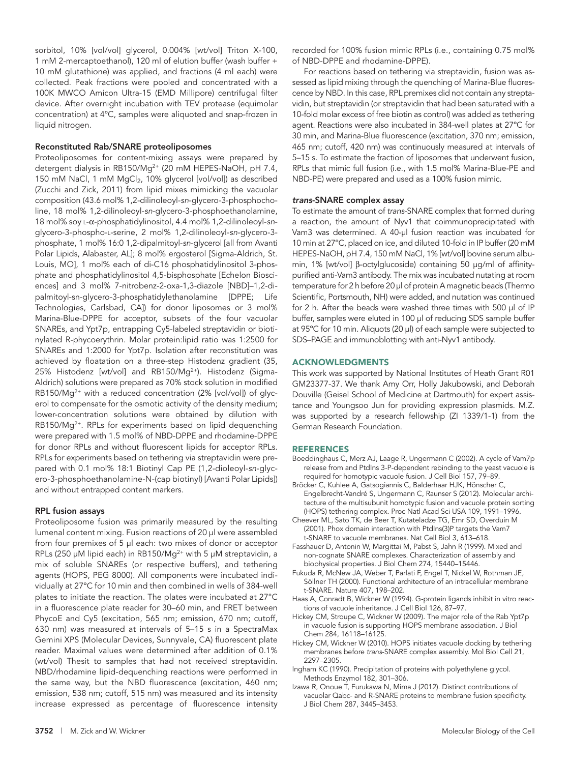sorbitol, 10% [vol/vol] glycerol, 0.004% [wt/vol] Triton X-100, 1 mM 2-mercaptoethanol), 120 ml of elution buffer (wash buffer + 10 mM glutathione) was applied, and fractions (4 ml each) were collected. Peak fractions were pooled and concentrated with a 100K MWCO Amicon Ultra-15 (EMD Millipore) centrifugal filter device. After overnight incubation with TEV protease (equimolar concentration) at 4ºC, samples were aliquoted and snap-frozen in liquid nitrogen.

#### Reconstituted Rab/SNARE proteoliposomes

Proteoliposomes for content-mixing assays were prepared by detergent dialysis in RB150/Mg<sup>2+</sup> (20 mM HEPES-NaOH, pH 7.4, 150 mM NaCl, 1 mM MgCl<sub>2</sub>, 10% glycerol [vol/vol]) as described (Zucchi and Zick, 2011) from lipid mixes mimicking the vacuolar composition (43.6 mol% 1,2-dilinoleoyl-*sn*-glycero-3-phosphocholine, 18 mol% 1,2-dilinoleoyl-*sn*-glycero-3-phosphoethanolamine, 18 mol% soy l-α-phosphatidylinositol, 4.4 mol% 1,2-dilinoleoyl-*sn*glycero-3-phospho-l-serine, 2 mol% 1,2-dilinoleoyl-*sn*-glycero-3 phosphate, 1 mol% 16:0 1,2-dipalmitoyl-*sn*-glycerol [all from Avanti Polar Lipids, Alabaster, AL]; 8 mol% ergosterol [Sigma-Aldrich, St. Louis, MO], 1 mol% each of di-C16 phosphatidylinositol 3-phosphate and phosphatidylinositol 4,5-bisphosphate [Echelon Biosciences] and 3 mol% 7-nitrobenz-2-oxa-1,3-diazole [NBD]–1,2-dipalmitoyl-sn-glycero-3-phosphatidylethanolamine [DPPE; Life Technologies, Carlsbad, CA]) for donor liposomes or 3 mol% Marina-Blue-DPPE for acceptor, subsets of the four vacuolar SNAREs, and Ypt7p, entrapping Cy5-labeled streptavidin or biotinylated R-phycoerythrin. Molar protein:lipid ratio was 1:2500 for SNAREs and 1:2000 for Ypt7p. Isolation after reconstitution was achieved by floatation on a three-step Histodenz gradient (35, 25% Histodenz [wt/vol] and RB150/Mg<sup>2+</sup>). Histodenz (Sigma-Aldrich) solutions were prepared as 70% stock solution in modified  $RB150/Mq^{2+}$  with a reduced concentration (2% [vol/vol]) of qlycerol to compensate for the osmotic activity of the density medium; lower-concentration solutions were obtained by dilution with RB150/Mg<sup>2+</sup>. RPLs for experiments based on lipid dequenching were prepared with 1.5 mol% of NBD-DPPE and rhodamine-DPPE for donor RPLs and without fluorescent lipids for acceptor RPLs. RPLs for experiments based on tethering via streptavidin were prepared with 0.1 mol% 18:1 Biotinyl Cap PE (1,2-dioleoyl-*sn*-glycero-3-phosphoethanolamine-N-(cap biotinyl) [Avanti Polar Lipids]) and without entrapped content markers.

#### RPL fusion assays

Proteoliposome fusion was primarily measured by the resulting lumenal content mixing. Fusion reactions of 20 μl were assembled from four premixes of 5 μl each: two mixes of donor or acceptor RPLs (250 μM lipid each) in RB150/Mg<sup>2+</sup> with 5 μM streptavidin, a mix of soluble SNAREs (or respective buffers), and tethering agents (HOPS, PEG 8000). All components were incubated individually at 27ºC for 10 min and then combined in wells of 384-well plates to initiate the reaction. The plates were incubated at 27°C in a fluorescence plate reader for 30–60 min, and FRET between PhycoE and Cy5 (excitation, 565 nm; emission, 670 nm; cutoff, 630 nm) was measured at intervals of 5–15 s in a SpectraMax Gemini XPS (Molecular Devices, Sunnyvale, CA) fluorescent plate reader. Maximal values were determined after addition of 0.1% (wt/vol) Thesit to samples that had not received streptavidin. NBD/rhodamine lipid-dequenching reactions were performed in the same way, but the NBD fluorescence (excitation, 460 nm; emission, 538 nm; cutoff, 515 nm) was measured and its intensity increase expressed as percentage of fluorescence intensity

recorded for 100% fusion mimic RPLs (i.e., containing 0.75 mol% of NBD-DPPE and rhodamine-DPPE).

For reactions based on tethering via streptavidin, fusion was assessed as lipid mixing through the quenching of Marina-Blue fluorescence by NBD. In this case, RPL premixes did not contain any streptavidin, but streptavidin (or streptavidin that had been saturated with a 10-fold molar excess of free biotin as control) was added as tethering agent. Reactions were also incubated in 384-well plates at 27ºC for 30 min, and Marina-Blue fluorescence (excitation, 370 nm; emission, 465 nm; cutoff, 420 nm) was continuously measured at intervals of 5–15 s. To estimate the fraction of liposomes that underwent fusion, RPLs that mimic full fusion (i.e., with 1.5 mol% Marina-Blue-PE and NBD-PE) were prepared and used as a 100% fusion mimic.

#### *trans*-SNARE complex assay

To estimate the amount of *trans*-SNARE complex that formed during a reaction, the amount of Nyv1 that coimmunoprecipitated with Vam3 was determined. A 40-μl fusion reaction was incubated for 10 min at 27ºC, placed on ice, and diluted 10-fold in IP buffer (20 mM HEPES-NaOH, pH 7.4, 150 mM NaCl, 1% [wt/vol] bovine serum albumin, 1% [wt/vol] β-octylglucoside) containing 50 μg/ml of affinitypurified anti-Vam3 antibody. The mix was incubated nutating at room temperature for 2 h before 20 μl of protein A magnetic beads (Thermo Scientific, Portsmouth, NH) were added, and nutation was continued for 2 h. After the beads were washed three times with 500 μl of IP buffer, samples were eluted in 100 μl of reducing SDS sample buffer at 95ºC for 10 min. Aliquots (20 μl) of each sample were subjected to SDS–PAGE and immunoblotting with anti-Nyv1 antibody.

#### ACKNOWLEDGMENTS

This work was supported by National Institutes of Heath Grant R01 GM23377-37. We thank Amy Orr, Holly Jakubowski, and Deborah Douville (Geisel School of Medicine at Dartmouth) for expert assistance and Youngsoo Jun for providing expression plasmids. M.Z. was supported by a research fellowship (ZI 1339/1-1) from the German Research Foundation.

#### REFERENCES

- Boeddinghaus C, Merz AJ, Laage R, Ungermann C (2002). A cycle of Vam7p release from and PtdIns 3-P-dependent rebinding to the yeast vacuole is required for homotypic vacuole fusion. J Cell Biol 157, 79–89.
- Bröcker C, Kuhlee A, Gatsogiannis C, Balderhaar HJK, Hönscher C, Engelbrecht-Vandré S, Ungermann C, Raunser S (2012). Molecular architecture of the multisubunit homotypic fusion and vacuole protein sorting (HOPS) tethering complex. Proc Natl Acad Sci USA 109, 1991–1996.
- Cheever ML, Sato TK, de Beer T, Kutateladze TG, Emr SD, Overduin M (2001). Phox domain interaction with PtdIns(3)P targets the Vam7 t-SNARE to vacuole membranes. Nat Cell Biol 3, 613–618.
- Fasshauer D, Antonin W, Margittai M, Pabst S, Jahn R (1999). Mixed and non-cognate SNARE complexes. Characterization of assembly and biophysical properties. J Biol Chem 274, 15440–15446.
- Fukuda R, McNew JA, Weber T, Parlati F, Engel T, Nickel W, Rothman JE, Söllner TH (2000). Functional architecture of an intracellular membrane t-SNARE. Nature 407, 198–202.
- Haas A, Conradt B, Wickner W (1994). G-protein ligands inhibit in vitro reactions of vacuole inheritance. J Cell Biol 126, 87–97.
- Hickey CM, Stroupe C, Wickner W (2009). The major role of the Rab Ypt7p in vacuole fusion is supporting HOPS membrane association. J Biol Chem 284, 16118–16125.
- Hickey CM, Wickner W (2010). HOPS initiates vacuole docking by tethering membranes before *trans*-SNARE complex assembly. Mol Biol Cell 21, 2297–2305.
- Ingham KC (1990). Precipitation of proteins with polyethylene glycol. Methods Enzymol 182, 301–306.
- Izawa R, Onoue T, Furukawa N, Mima J (2012). Distinct contributions of vacuolar Qabc- and R-SNARE proteins to membrane fusion specificity. J Biol Chem 287, 3445–3453.